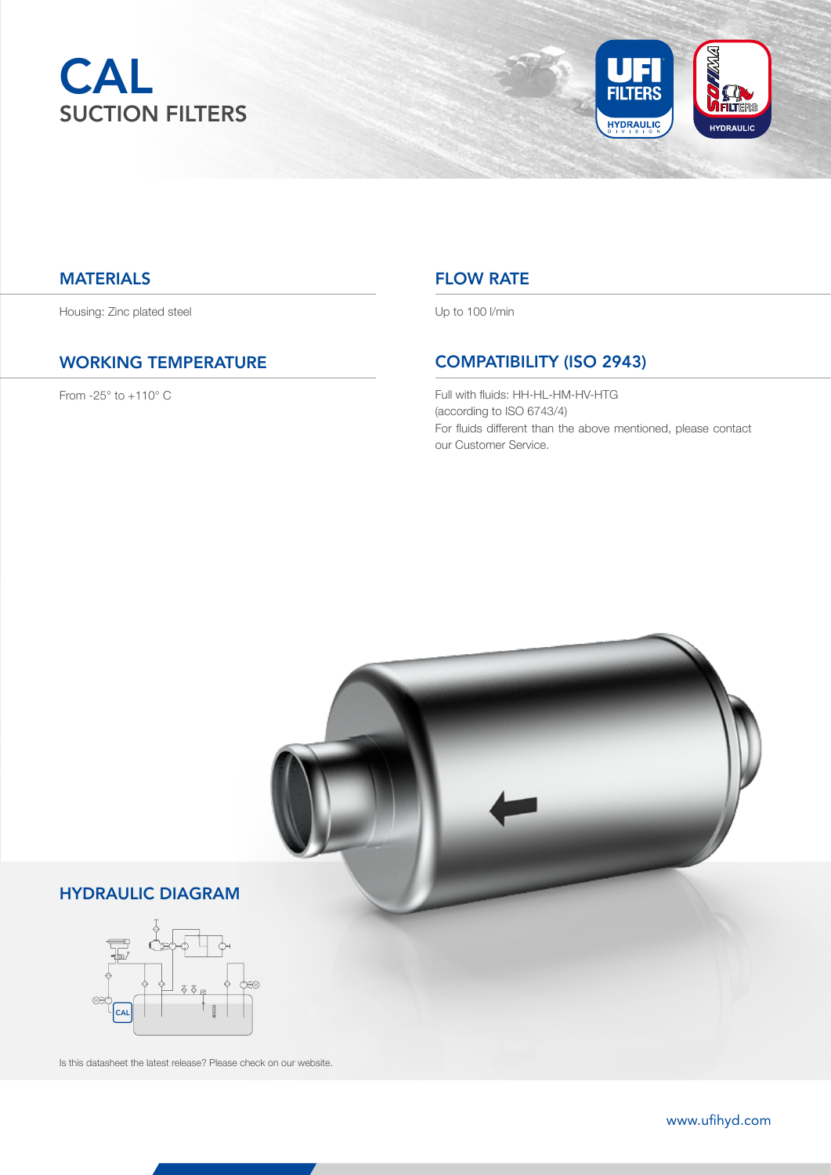



#### **MATERIALS**

Housing: Zinc plated steel

#### WORKING TEMPERATURE

From -25° to +110° C

### FLOW RATE

Up to 100 l/min

# COMPATIBILITY (ISO 2943)

Full with fluids: HH-HL-HM-HV-HTG (according to ISO 6743/4) For fluids different than the above mentioned, please contact our Customer Service.



13 www.ufihyd.com